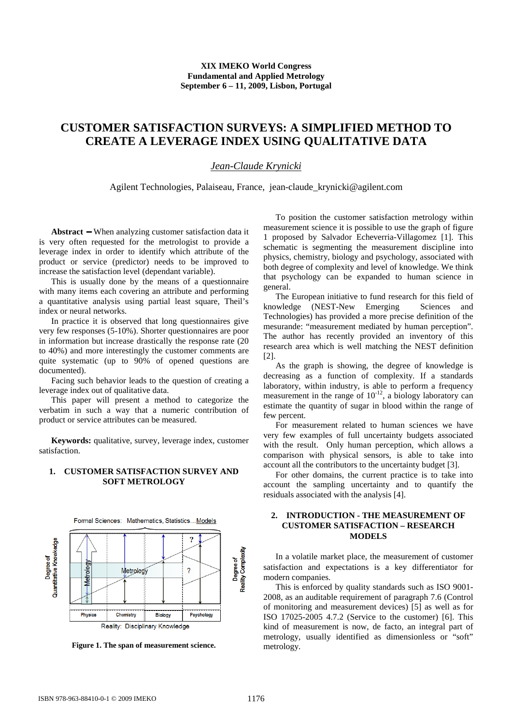#### **XIX IMEKO World Congress Fundamental and Applied Metrology September 6 – 11, 2009, Lisbon, Portugal**

# **CUSTOMER SATISFACTION SURVEYS: A SIMPLIFIED METHOD TO CREATE A LEVERAGE INDEX USING QUALITATIVE DATA**

## *Jean-Claude Krynicki*

Agilent Technologies, Palaiseau, France, jean-claude\_krynicki@agilent.com

**Abstract** − When analyzing customer satisfaction data it is very often requested for the metrologist to provide a leverage index in order to identify which attribute of the product or service (predictor) needs to be improved to increase the satisfaction level (dependant variable).

This is usually done by the means of a questionnaire with many items each covering an attribute and performing a quantitative analysis using partial least square, Theil's index or neural networks.

In practice it is observed that long questionnaires give very few responses (5-10%). Shorter questionnaires are poor in information but increase drastically the response rate (20 to 40%) and more interestingly the customer comments are quite systematic (up to 90% of opened questions are documented).

Facing such behavior leads to the question of creating a leverage index out of qualitative data.

This paper will present a method to categorize the verbatim in such a way that a numeric contribution of product or service attributes can be measured.

**Keywords:** qualitative, survey, leverage index, customer satisfaction.

### **1. CUSTOMER SATISFACTION SURVEY AND SOFT METROLOGY**



**Figure 1. The span of measurement science.** 

To position the customer satisfaction metrology within measurement science it is possible to use the graph of figure 1 proposed by Salvador Echeverria-Villagomez [1]. This schematic is segmenting the measurement discipline into physics, chemistry, biology and psychology, associated with both degree of complexity and level of knowledge. We think that psychology can be expanded to human science in general.

The European initiative to fund research for this field of knowledge (NEST-New Emerging Sciences and Technologies) has provided a more precise definition of the mesurande: "measurement mediated by human perception". The author has recently provided an inventory of this research area which is well matching the NEST definition [2].

As the graph is showing, the degree of knowledge is decreasing as a function of complexity. If a standards laboratory, within industry, is able to perform a frequency measurement in the range of  $10^{-12}$ , a biology laboratory can estimate the quantity of sugar in blood within the range of few percent.

For measurement related to human sciences we have very few examples of full uncertainty budgets associated with the result. Only human perception, which allows a comparison with physical sensors, is able to take into account all the contributors to the uncertainty budget [3].

For other domains, the current practice is to take into account the sampling uncertainty and to quantify the residuals associated with the analysis [4].

### **2. INTRODUCTION - THE MEASUREMENT OF CUSTOMER SATISFACTION – RESEARCH MODELS**

In a volatile market place, the measurement of customer satisfaction and expectations is a key differentiator for modern companies.

This is enforced by quality standards such as ISO 9001- 2008, as an auditable requirement of paragraph 7.6 (Control of monitoring and measurement devices) [5] as well as for ISO 17025-2005 4.7.2 (Service to the customer) [6]. This kind of measurement is now, de facto, an integral part of metrology, usually identified as dimensionless or "soft" metrology.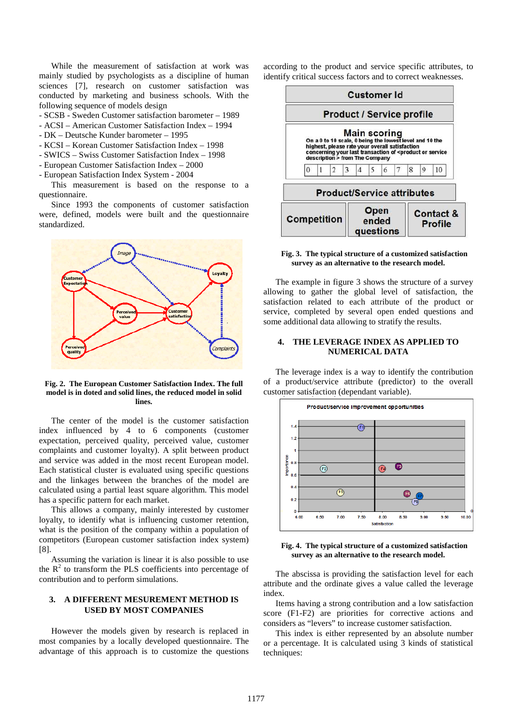While the measurement of satisfaction at work was mainly studied by psychologists as a discipline of human sciences [7], research on customer satisfaction was conducted by marketing and business schools. With the following sequence of models design

- SCSB - Sweden Customer satisfaction barometer – 1989

- ACSI American Customer Satisfaction Index 1994
- DK Deutsche Kunder barometer 1995
- KCSI Korean Customer Satisfaction Index 1998
- SWICS Swiss Customer Satisfaction Index 1998
- European Customer Satisfaction Index 2000
- European Satisfaction Index System 2004

This measurement is based on the response to a questionnaire.

Since 1993 the components of customer satisfaction were, defined, models were built and the questionnaire standardized.



**Fig. 2. The European Customer Satisfaction Index. The full model is in doted and solid lines, the reduced model in solid lines.**

The center of the model is the customer satisfaction index influenced by 4 to 6 components (customer expectation, perceived quality, perceived value, customer complaints and customer loyalty). A split between product and service was added in the most recent European model. Each statistical cluster is evaluated using specific questions and the linkages between the branches of the model are calculated using a partial least square algorithm. This model has a specific pattern for each market.

This allows a company, mainly interested by customer loyalty, to identify what is influencing customer retention, what is the position of the company within a population of competitors (European customer satisfaction index system) [8].

Assuming the variation is linear it is also possible to use the  $R<sup>2</sup>$  to transform the PLS coefficients into percentage of contribution and to perform simulations.

#### **3. A DIFFERENT MESUREMENT METHOD IS USED BY MOST COMPANIES**

However the models given by research is replaced in most companies by a locally developed questionnaire. The advantage of this approach is to customize the questions according to the product and service specific attributes, to identify critical success factors and to correct weaknesses.



#### **Fig. 3. The typical structure of a customized satisfaction survey as an alternative to the research model.**

The example in figure 3 shows the structure of a survey allowing to gather the global level of satisfaction, the satisfaction related to each attribute of the product or service, completed by several open ended questions and some additional data allowing to stratify the results.

#### **4. THE LEVERAGE INDEX AS APPLIED TO NUMERICAL DATA**

The leverage index is a way to identify the contribution of a product/service attribute (predictor) to the overall customer satisfaction (dependant variable).



**Fig. 4. The typical structure of a customized satisfaction survey as an alternative to the research model.** 

The abscissa is providing the satisfaction level for each attribute and the ordinate gives a value called the leverage index.

Items having a strong contribution and a low satisfaction score (F1-F2) are priorities for corrective actions and considers as "levers" to increase customer satisfaction.

This index is either represented by an absolute number or a percentage. It is calculated using 3 kinds of statistical techniques: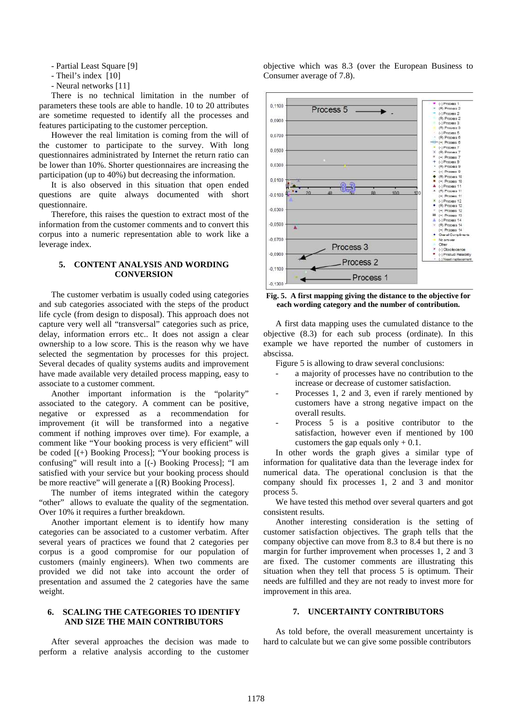- Partial Least Square [9]

- Theil's index [10]
- Neural networks [11]

There is no technical limitation in the number of parameters these tools are able to handle. 10 to 20 attributes are sometime requested to identify all the processes and features participating to the customer perception.

However the real limitation is coming from the will of the customer to participate to the survey. With long questionnaires administrated by Internet the return ratio can be lower than 10%. Shorter questionnaires are increasing the participation (up to 40%) but decreasing the information.

It is also observed in this situation that open ended questions are quite always documented with short questionnaire.

Therefore, this raises the question to extract most of the information from the customer comments and to convert this corpus into a numeric representation able to work like a leverage index.

#### **5. CONTENT ANALYSIS AND WORDING CONVERSION**

The customer verbatim is usually coded using categories and sub categories associated with the steps of the product life cycle (from design to disposal). This approach does not capture very well all "transversal" categories such as price, delay, information errors etc.. It does not assign a clear ownership to a low score. This is the reason why we have selected the segmentation by processes for this project. Several decades of quality systems audits and improvement have made available very detailed process mapping, easy to associate to a customer comment.

Another important information is the "polarity" associated to the category. A comment can be positive, negative or expressed as a recommendation for improvement (it will be transformed into a negative comment if nothing improves over time). For example, a comment like "Your booking process is very efficient" will be coded [(+) Booking Process]; "Your booking process is confusing" will result into a [(-) Booking Process]; "I am satisfied with your service but your booking process should be more reactive" will generate a  $[(R)$  Booking Process].

The number of items integrated within the category "other" allows to evaluate the quality of the segmentation. Over 10% it requires a further breakdown.

Another important element is to identify how many categories can be associated to a customer verbatim. After several years of practices we found that 2 categories per corpus is a good compromise for our population of customers (mainly engineers). When two comments are provided we did not take into account the order of presentation and assumed the 2 categories have the same weight.

#### **6. SCALING THE CATEGORIES TO IDENTIFY AND SIZE THE MAIN CONTRIBUTORS**

After several approaches the decision was made to perform a relative analysis according to the customer objective which was 8.3 (over the European Business to Consumer average of 7.8).



**Fig. 5. A first mapping giving the distance to the objective for each wording category and the number of contribution.** 

A first data mapping uses the cumulated distance to the objective (8.3) for each sub process (ordinate). In this example we have reported the number of customers in abscissa.

Figure 5 is allowing to draw several conclusions:

- a majority of processes have no contribution to the increase or decrease of customer satisfaction.
- Processes 1, 2 and 3, even if rarely mentioned by customers have a strong negative impact on the overall results.
- Process 5 is a positive contributor to the satisfaction, however even if mentioned by 100 customers the gap equals only  $+ 0.1$ .

In other words the graph gives a similar type of information for qualitative data than the leverage index for numerical data. The operational conclusion is that the company should fix processes 1, 2 and 3 and monitor process 5.

We have tested this method over several quarters and got consistent results.

Another interesting consideration is the setting of customer satisfaction objectives. The graph tells that the company objective can move from 8.3 to 8.4 but there is no margin for further improvement when processes 1, 2 and 3 are fixed. The customer comments are illustrating this situation when they tell that process 5 is optimum. Their needs are fulfilled and they are not ready to invest more for improvement in this area.

#### **7. UNCERTAINTY CONTRIBUTORS**

As told before, the overall measurement uncertainty is hard to calculate but we can give some possible contributors